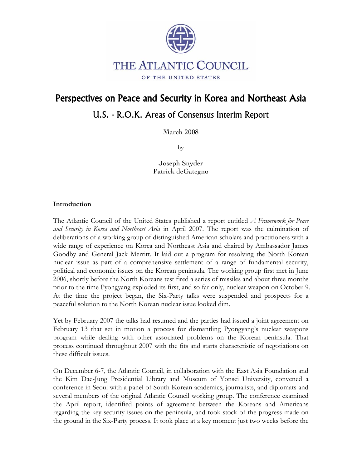

# Perspectives on Peace and Security in Korea and Northeast Asia

U.S. - R.O.K. Areas of Consensus Interim Report

March 2008

by

Joseph Snyder Patrick deGategno

#### **Introduction**

The Atlantic Council of the United States published a report entitled *A Framework for Peace and Security in Korea and Northeast Asia* in April 2007. The report was the culmination of deliberations of a working group of distinguished American scholars and practitioners with a wide range of experience on Korea and Northeast Asia and chaired by Ambassador James Goodby and General Jack Merritt. It laid out a program for resolving the North Korean nuclear issue as part of a comprehensive settlement of a range of fundamental security, political and economic issues on the Korean peninsula. The working group first met in June 2006, shortly before the North Koreans test fired a series of missiles and about three months prior to the time Pyongyang exploded its first, and so far only, nuclear weapon on October 9. At the time the project began, the Six-Party talks were suspended and prospects for a peaceful solution to the North Korean nuclear issue looked dim.

Yet by February 2007 the talks had resumed and the parties had issued a joint agreement on February 13 that set in motion a process for dismantling Pyongyang's nuclear weapons program while dealing with other associated problems on the Korean peninsula. That process continued throughout 2007 with the fits and starts characteristic of negotiations on these difficult issues.

On December 6-7, the Atlantic Council, in collaboration with the East Asia Foundation and the Kim Dae-Jung Presidential Library and Museum of Yonsei University, convened a conference in Seoul with a panel of South Korean academics, journalists, and diplomats and several members of the original Atlantic Council working group. The conference examined the April report, identified points of agreement between the Koreans and Americans regarding the key security issues on the peninsula, and took stock of the progress made on the ground in the Six-Party process. It took place at a key moment just two weeks before the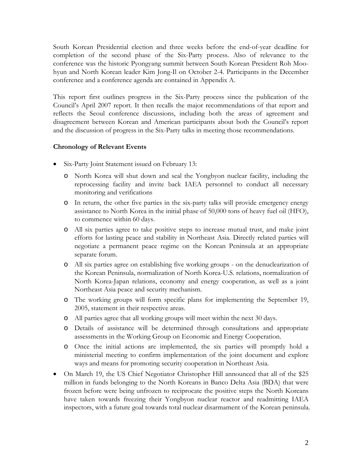South Korean Presidential election and three weeks before the end-of-year deadline for completion of the second phase of the Six-Party process. Also of relevance to the conference was the historic Pyongyang summit between South Korean President Roh Moohyun and North Korean leader Kim Jong-Il on October 2-4. Participants in the December conference and a conference agenda are contained in Appendix A.

This report first outlines progress in the Six-Party process since the publication of the Council's April 2007 report. It then recalls the major recommendations of that report and reflects the Seoul conference discussions, including both the areas of agreement and disagreement between Korean and American participants about both the Council's report and the discussion of progress in the Six-Party talks in meeting those recommendations.

#### **Chronology of Relevant Events**

- Six-Party Joint Statement issued on February 13:
	- o North Korea will shut down and seal the Yongbyon nuclear facility, including the reprocessing facility and invite back IAEA personnel to conduct all necessary monitoring and verifications
	- o In return, the other five parties in the six-party talks will provide emergency energy assistance to North Korea in the initial phase of 50,000 tons of heavy fuel oil (HFO), to commence within 60 days.
	- o All six parties agree to take positive steps to increase mutual trust, and make joint efforts for lasting peace and stability in Northeast Asia. Directly related parties will negotiate a permanent peace regime on the Korean Peninsula at an appropriate separate forum.
	- o All six parties agree on establishing five working groups on the denuclearization of the Korean Peninsula, normalization of North Korea-U.S. relations, normalization of North Korea-Japan relations, economy and energy cooperation, as well as a joint Northeast Asia peace and security mechanism.
	- o The working groups will form specific plans for implementing the September 19, 2005, statement in their respective areas.
	- o All parties agree that all working groups will meet within the next 30 days.
	- o Details of assistance will be determined through consultations and appropriate assessments in the Working Group on Economic and Energy Cooperation.
	- o Once the initial actions are implemented, the six parties will promptly hold a ministerial meeting to confirm implementation of the joint document and explore ways and means for promoting security cooperation in Northeast Asia.
- On March 19, the US Chief Negotiator Christopher Hill announced that all of the \$25 million in funds belonging to the North Koreans in Banco Delta Asia (BDA) that were frozen before were being unfrozen to reciprocate the positive steps the North Koreans have taken towards freezing their Yongbyon nuclear reactor and readmitting IAEA inspectors, with a future goal towards total nuclear disarmament of the Korean peninsula.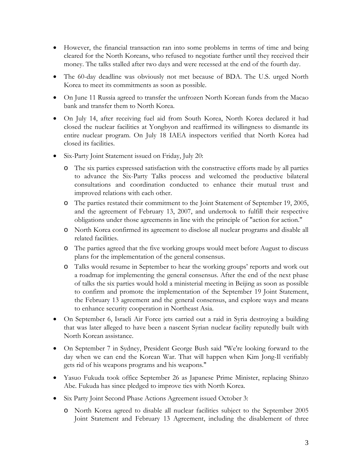- However, the financial transaction ran into some problems in terms of time and being cleared for the North Koreans, who refused to negotiate further until they received their money. The talks stalled after two days and were recessed at the end of the fourth day.
- The 60-day deadline was obviously not met because of BDA. The U.S. urged North Korea to meet its commitments as soon as possible.
- On June 11 Russia agreed to transfer the unfrozen North Korean funds from the Macao bank and transfer them to North Korea.
- On July 14, after receiving fuel aid from South Korea, North Korea declared it had closed the nuclear facilities at Yongbyon and reaffirmed its willingness to dismantle its entire nuclear program. On July 18 IAEA inspectors verified that North Korea had closed its facilities.
- Six-Party Joint Statement issued on Friday, July 20:
	- o The six parties expressed satisfaction with the constructive efforts made by all parties to advance the Six-Party Talks process and welcomed the productive bilateral consultations and coordination conducted to enhance their mutual trust and improved relations with each other.
	- o The parties restated their commitment to the Joint Statement of September 19, 2005, and the agreement of February 13, 2007, and undertook to fulfill their respective obligations under those agreements in line with the principle of "action for action."
	- o North Korea confirmed its agreement to disclose all nuclear programs and disable all related facilities.
	- o The parties agreed that the five working groups would meet before August to discuss plans for the implementation of the general consensus.
	- o Talks would resume in September to hear the working groups' reports and work out a roadmap for implementing the general consensus. After the end of the next phase of talks the six parties would hold a ministerial meeting in Beijing as soon as possible to confirm and promote the implementation of the September 19 Joint Statement, the February 13 agreement and the general consensus, and explore ways and means to enhance security cooperation in Northeast Asia.
- On September 6, Israeli Air Force jets carried out a raid in Syria destroying a building that was later alleged to have been a nascent Syrian nuclear facility reputedly built with North Korean assistance.
- On September 7 in Sydney, President George Bush said "We're looking forward to the day when we can end the Korean War. That will happen when Kim Jong-Il verifiably gets rid of his weapons programs and his weapons."
- Yasuo Fukuda took office September 26 as Japanese Prime Minister, replacing Shinzo Abe. Fukuda has since pledged to improve ties with North Korea.
- Six Party Joint Second Phase Actions Agreement issued October 3:
	- o North Korea agreed to disable all nuclear facilities subject to the September 2005 Joint Statement and February 13 Agreement, including the disablement of three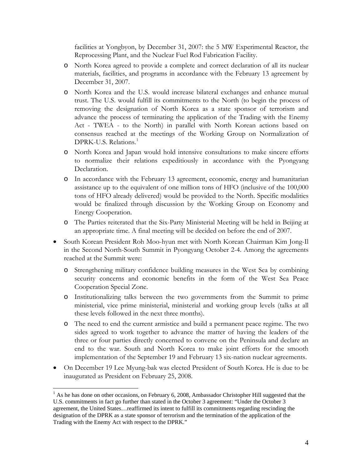facilities at Yongbyon, by December 31, 2007: the 5 MW Experimental Reactor, the Reprocessing Plant, and the Nuclear Fuel Rod Fabrication Facility.

- o North Korea agreed to provide a complete and correct declaration of all its nuclear materials, facilities, and programs in accordance with the February 13 agreement by December 31, 2007.
- o North Korea and the U.S. would increase bilateral exchanges and enhance mutual trust. The U.S. would fulfill its commitments to the North (to begin the process of removing the designation of North Korea as a state sponsor of terrorism and advance the process of terminating the application of the Trading with the Enemy Act - TWEA - to the North) in parallel with North Korean actions based on consensus reached at the meetings of the Working Group on Normalization of DPRK-U.S. Relations.<sup>[1](#page-3-0)</sup>
- o North Korea and Japan would hold intensive consultations to make sincere efforts to normalize their relations expeditiously in accordance with the Pyongyang Declaration.
- o In accordance with the February 13 agreement, economic, energy and humanitarian assistance up to the equivalent of one million tons of HFO (inclusive of the 100,000 tons of HFO already delivered) would be provided to the North. Specific modalities would be finalized through discussion by the Working Group on Economy and Energy Cooperation.
- o The Parties reiterated that the Six-Party Ministerial Meeting will be held in Beijing at an appropriate time. A final meeting will be decided on before the end of 2007.
- South Korean President Roh Moo-hyun met with North Korean Chairman Kim Jong-Il in the Second North-South Summit in Pyongyang October 2-4. Among the agreements reached at the Summit were:
	- o Strengthening military confidence building measures in the West Sea by combining security concerns and economic benefits in the form of the West Sea Peace Cooperation Special Zone.
	- o Institutionalizing talks between the two governments from the Summit to prime ministerial, vice prime ministerial, ministerial and working group levels (talks at all these levels followed in the next three months).
	- o The need to end the current armistice and build a permanent peace regime. The two sides agreed to work together to advance the matter of having the leaders of the three or four parties directly concerned to convene on the Peninsula and declare an end to the war. South and North Korea to make joint efforts for the smooth implementation of the September 19 and February 13 six-nation nuclear agreements.
- On December 19 Lee Myung-bak was elected President of South Korea. He is due to be inaugurated as President on February 25, 2008.

 $\overline{a}$ 

<span id="page-3-0"></span> $<sup>1</sup>$  As he has done on other occasions, on February 6, 2008, Ambassador Christopher Hill suggested that the</sup> U.S. commitments in fact go further than stated in the October 3 agreement: "Under the October 3 agreement, the United States…reaffirmed its intent to fulfill its commitments regarding rescinding the designation of the DPRK as a state sponsor of terrorism and the termination of the application of the Trading with the Enemy Act with respect to the DPRK."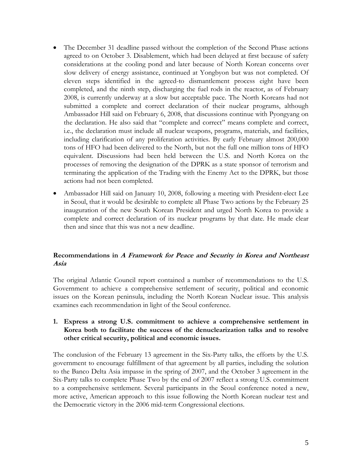- The December 31 deadline passed without the completion of the Second Phase actions agreed to on October 3. Disablement, which had been delayed at first because of safety considerations at the cooling pond and later because of North Korean concerns over slow delivery of energy assistance, continued at Yongbyon but was not completed. Of eleven steps identified in the agreed-to dismantlement process eight have been completed, and the ninth step, discharging the fuel rods in the reactor, as of February 2008, is currently underway at a slow but acceptable pace. The North Koreans had not submitted a complete and correct declaration of their nuclear programs, although Ambassador Hill said on February 6, 2008, that discussions continue with Pyongyang on the declaration. He also said that "complete and correct" means complete and correct, i.e., the declaration must include all nuclear weapons, programs, materials, and facilities, including clarification of any proliferation activities. By early February almost 200,000 tons of HFO had been delivered to the North, but not the full one million tons of HFO equivalent. Discussions had been held between the U.S. and North Korea on the processes of removing the designation of the DPRK as a state sponsor of terrorism and terminating the application of the Trading with the Enemy Act to the DPRK, but those actions had not been completed.
- Ambassador Hill said on January 10, 2008, following a meeting with President-elect Lee in Seoul, that it would be desirable to complete all Phase Two actions by the February 25 inauguration of the new South Korean President and urged North Korea to provide a complete and correct declaration of its nuclear programs by that date. He made clear then and since that this was not a new deadline.

# **Recommendations in A Framework for Peace and Security in Korea and Northeast Asia**

The original Atlantic Council report contained a number of recommendations to the U.S. Government to achieve a comprehensive settlement of security, political and economic issues on the Korean peninsula, including the North Korean Nuclear issue. This analysis examines each recommendation in light of the Seoul conference.

## **1. Express a strong U.S. commitment to achieve a comprehensive settlement in Korea both to facilitate the success of the denuclearization talks and to resolve other critical security, political and economic issues.**

The conclusion of the February 13 agreement in the Six-Party talks, the efforts by the U.S. government to encourage fulfillment of that agreement by all parties, including the solution to the Banco Delta Asia impasse in the spring of 2007, and the October 3 agreement in the Six-Party talks to complete Phase Two by the end of 2007 reflect a strong U.S. commitment to a comprehensive settlement. Several participants in the Seoul conference noted a new, more active, American approach to this issue following the North Korean nuclear test and the Democratic victory in the 2006 mid-term Congressional elections.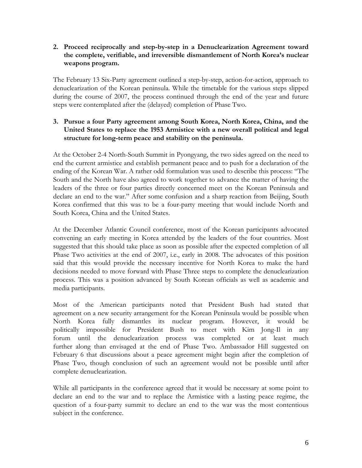## **2. Proceed reciprocally and step-by-step in a Denuclearization Agreement toward the complete, verifiable, and irreversible dismantlement of North Korea's nuclear weapons program.**

The February 13 Six-Party agreement outlined a step-by-step, action-for-action, approach to denuclearization of the Korean peninsula. While the timetable for the various steps slipped during the course of 2007, the process continued through the end of the year and future steps were contemplated after the (delayed) completion of Phase Two.

# **3. Pursue a four Party agreement among South Korea, North Korea, China, and the United States to replace the 1953 Armistice with a new overall political and legal structure for long-term peace and stability on the peninsula.**

At the October 2-4 North-South Summit in Pyongyang, the two sides agreed on the need to end the current armistice and establish permanent peace and to push for a declaration of the ending of the Korean War. A rather odd formulation was used to describe this process: "The South and the North have also agreed to work together to advance the matter of having the leaders of the three or four parties directly concerned meet on the Korean Peninsula and declare an end to the war." After some confusion and a sharp reaction from Beijing, South Korea confirmed that this was to be a four-party meeting that would include North and South Korea, China and the United States.

At the December Atlantic Council conference, most of the Korean participants advocated convening an early meeting in Korea attended by the leaders of the four countries. Most suggested that this should take place as soon as possible after the expected completion of all Phase Two activities at the end of 2007, i.e., early in 2008. The advocates of this position said that this would provide the necessary incentive for North Korea to make the hard decisions needed to move forward with Phase Three steps to complete the denuclearization process. This was a position advanced by South Korean officials as well as academic and media participants.

Most of the American participants noted that President Bush had stated that agreement on a new security arrangement for the Korean Peninsula would be possible when North Korea fully dismantles its nuclear program. However, it would be politically impossible for President Bush to meet with Kim Jong-Il in any forum until the denuclearization process was completed or at least much further along than envisaged at the end of Phase Two. Ambassador Hill suggested on February 6 that discussions about a peace agreement might begin after the completion of Phase Two, though conclusion of such an agreement would not be possible until after complete denuclearization.

While all participants in the conference agreed that it would be necessary at some point to declare an end to the war and to replace the Armistice with a lasting peace regime, the question of a four-party summit to declare an end to the war was the most contentious subject in the conference.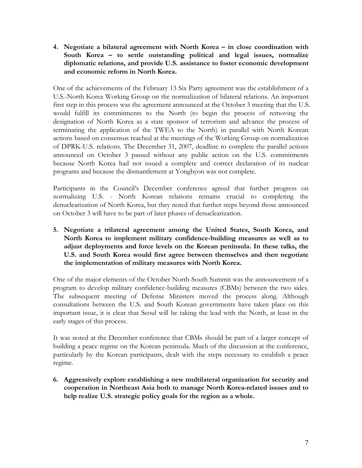**4. Negotiate a bilateral agreement with North Korea – in close coordination with South Korea – to settle outstanding political and legal issues, normalize diplomatic relations, and provide U.S. assistance to foster economic development and economic reform in North Korea.** 

One of the achievements of the February 13 Six Party agreement was the establishment of a U.S.-North Korea Working Group on the normalization of bilateral relations. An important first step in this process was the agreement announced at the October 3 meeting that the U.S. would fulfill its commitments to the North (to begin the process of removing the designation of North Korea as a state sponsor of terrorism and advance the process of terminating the application of the TWEA to the North) in parallel with North Korean actions based on consensus reached at the meetings of the Working Group on normalization of DPRK-U.S. relations. The December 31, 2007, deadline to complete the parallel actions announced on October 3 passed without any public action on the U.S. commitments because North Korea had not issued a complete and correct declaration of its nuclear programs and because the dismantlement at Yongbyon was not complete.

Participants in the Council's December conference agreed that further progress on normalizing U.S. - North Korean relations remains crucial to completing the denuclearization of North Korea, but they noted that further steps beyond those announced on October 3 will have to be part of later phases of denuclearization.

**5. Negotiate a trilateral agreement among the United States, South Korea, and North Korea to implement military confidence-building measures as well as to adjust deployments and force levels on the Korean peninsula. In these talks, the U.S. and South Korea would first agree between themselves and then negotiate the implementation of military measures with North Korea.** 

One of the major elements of the October North-South Summit was the announcement of a program to develop military confidence-building measures (CBMs) between the two sides. The subsequent meeting of Defense Ministers moved the process along. Although consultations between the U.S. and South Korean governments have taken place on this important issue, it is clear that Seoul will be taking the lead with the North, at least in the early stages of this process.

It was noted at the December conference that CBMs should be part of a larger concept of building a peace regime on the Korean peninsula. Much of the discussion at the conference, particularly by the Korean participants, dealt with the steps necessary to establish a peace regime.

**6. Aggressively explore establishing a new multilateral organization for security and cooperation in Northeast Asia both to manage North Korea-related issues and to help realize U.S. strategic policy goals for the region as a whole.**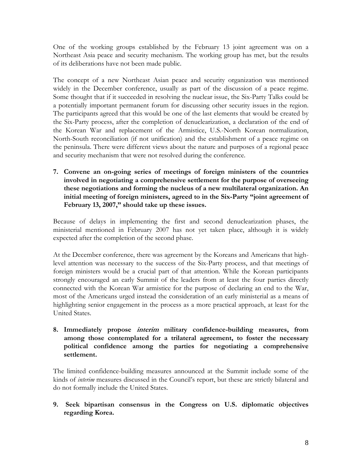One of the working groups established by the February 13 joint agreement was on a Northeast Asia peace and security mechanism. The working group has met, but the results of its deliberations have not been made public.

The concept of a new Northeast Asian peace and security organization was mentioned widely in the December conference, usually as part of the discussion of a peace regime. Some thought that if it succeeded in resolving the nuclear issue, the Six-Party Talks could be a potentially important permanent forum for discussing other security issues in the region. The participants agreed that this would be one of the last elements that would be created by the Six-Party process, after the completion of denuclearization, a declaration of the end of the Korean War and replacement of the Armistice, U.S.-North Korean normalization, North-South reconciliation (if not unification) and the establishment of a peace regime on the peninsula. There were different views about the nature and purposes of a regional peace and security mechanism that were not resolved during the conference.

**7. Convene an on-going series of meetings of foreign ministers of the countries involved in negotiating a comprehensive settlement for the purpose of overseeing these negotiations and forming the nucleus of a new multilateral organization. An initial meeting of foreign ministers, agreed to in the Six-Party "joint agreement of February 13, 2007," should take up these issues.** 

Because of delays in implementing the first and second denuclearization phases, the ministerial mentioned in February 2007 has not yet taken place, although it is widely expected after the completion of the second phase.

At the December conference, there was agreement by the Koreans and Americans that highlevel attention was necessary to the success of the Six-Party process, and that meetings of foreign ministers would be a crucial part of that attention. While the Korean participants strongly encouraged an early Summit of the leaders from at least the four parties directly connected with the Korean War armistice for the purpose of declaring an end to the War, most of the Americans urged instead the consideration of an early ministerial as a means of highlighting senior engagement in the process as a more practical approach, at least for the United States.

**8. Immediately propose interim military confidence-building measures, from among those contemplated for a trilateral agreement, to foster the necessary political confidence among the parties for negotiating a comprehensive settlement.**

The limited confidence-building measures announced at the Summit include some of the kinds of *interim* measures discussed in the Council's report, but these are strictly bilateral and do not formally include the United States.

**9. Seek bipartisan consensus in the Congress on U.S. diplomatic objectives regarding Korea.**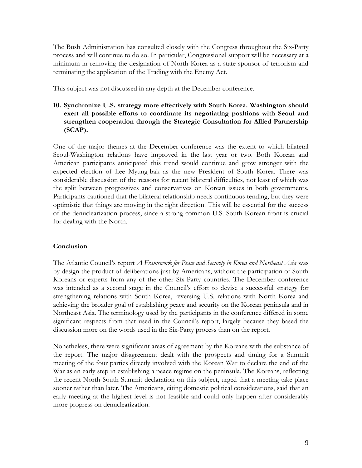The Bush Administration has consulted closely with the Congress throughout the Six-Party process and will continue to do so. In particular, Congressional support will be necessary at a minimum in removing the designation of North Korea as a state sponsor of terrorism and terminating the application of the Trading with the Enemy Act.

This subject was not discussed in any depth at the December conference.

## **10. Synchronize U.S. strategy more effectively with South Korea. Washington should exert all possible efforts to coordinate its negotiating positions with Seoul and strengthen cooperation through the Strategic Consultation for Allied Partnership (SCAP).**

One of the major themes at the December conference was the extent to which bilateral Seoul-Washington relations have improved in the last year or two. Both Korean and American participants anticipated this trend would continue and grow stronger with the expected election of Lee Myung-bak as the new President of South Korea. There was considerable discussion of the reasons for recent bilateral difficulties, not least of which was the split between progressives and conservatives on Korean issues in both governments. Participants cautioned that the bilateral relationship needs continuous tending, but they were optimistic that things are moving in the right direction. This will be essential for the success of the denuclearization process, since a strong common U.S.-South Korean front is crucial for dealing with the North.

### **Conclusion**

The Atlantic Council's report *A Framework for Peace and Security in Korea and Northeast Asia* was by design the product of deliberations just by Americans, without the participation of South Koreans or experts from any of the other Six-Party countries. The December conference was intended as a second stage in the Council's effort to devise a successful strategy for strengthening relations with South Korea, reversing U.S. relations with North Korea and achieving the broader goal of establishing peace and security on the Korean peninsula and in Northeast Asia. The terminology used by the participants in the conference differed in some significant respects from that used in the Council's report, largely because they based the discussion more on the words used in the Six-Party process than on the report.

Nonetheless, there were significant areas of agreement by the Koreans with the substance of the report. The major disagreement dealt with the prospects and timing for a Summit meeting of the four parties directly involved with the Korean War to declare the end of the War as an early step in establishing a peace regime on the peninsula. The Koreans, reflecting the recent North-South Summit declaration on this subject, urged that a meeting take place sooner rather than later. The Americans, citing domestic political considerations, said that an early meeting at the highest level is not feasible and could only happen after considerably more progress on denuclearization.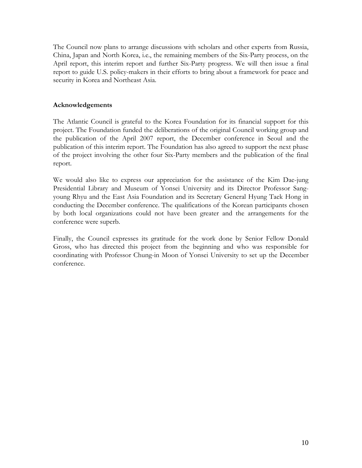The Council now plans to arrange discussions with scholars and other experts from Russia, China, Japan and North Korea, i.e., the remaining members of the Six-Party process, on the April report, this interim report and further Six-Party progress. We will then issue a final report to guide U.S. policy-makers in their efforts to bring about a framework for peace and security in Korea and Northeast Asia.

#### **Acknowledgements**

The Atlantic Council is grateful to the Korea Foundation for its financial support for this project. The Foundation funded the deliberations of the original Council working group and the publication of the April 2007 report, the December conference in Seoul and the publication of this interim report. The Foundation has also agreed to support the next phase of the project involving the other four Six-Party members and the publication of the final report.

We would also like to express our appreciation for the assistance of the Kim Dae-jung Presidential Library and Museum of Yonsei University and its Director Professor Sangyoung Rhyu and the East Asia Foundation and its Secretary General Hyung Taek Hong in conducting the December conference. The qualifications of the Korean participants chosen by both local organizations could not have been greater and the arrangements for the conference were superb.

Finally, the Council expresses its gratitude for the work done by Senior Fellow Donald Gross, who has directed this project from the beginning and who was responsible for coordinating with Professor Chung-in Moon of Yonsei University to set up the December conference.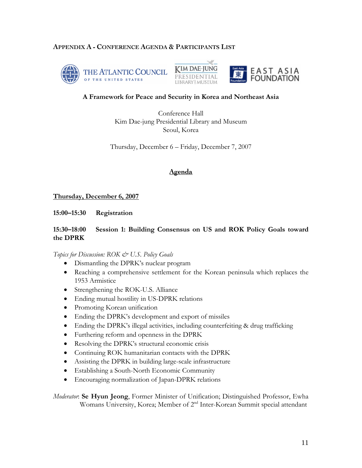# **APPENDIX A - CONFERENCE AGENDA & PARTICIPANTS LIST**







## **A Framework for Peace and Security in Korea and Northeast Asia**

Conference Hall Kim Dae-jung Presidential Library and Museum Seoul, Korea

Thursday, December 6 – Friday, December 7, 2007

## **Agenda**

### **Thursday, December 6, 2007**

**15:00–15:30 Registration** 

## **15:30–18:00 Session 1: Building Consensus on US and ROK Policy Goals toward the DPRK**

*Topics for Discussion: ROK & U.S. Policy Goals* 

- Dismantling the DPRK's nuclear program
- Reaching a comprehensive settlement for the Korean peninsula which replaces the 1953 Armistice
- Strengthening the ROK-U.S. Alliance
- Ending mutual hostility in US-DPRK relations
- Promoting Korean unification
- Ending the DPRK's development and export of missiles
- Ending the DPRK's illegal activities, including counterfeiting & drug trafficking
- Furthering reform and openness in the DPRK
- Resolving the DPRK's structural economic crisis
- Continuing ROK humanitarian contacts with the DPRK
- Assisting the DPRK in building large-scale infrastructure
- Establishing a South-North Economic Community
- Encouraging normalization of Japan-DPRK relations

*Moderator*: **Se Hyun Jeong**, Former Minister of Unification; Distinguished Professor, Ewha Womans University, Korea; Member of 2<sup>nd</sup> Inter-Korean Summit special attendant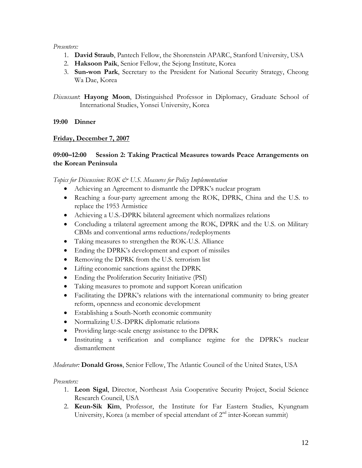#### *Presenters:*

- 1. **David Straub**, Pantech Fellow, the Shorenstein APARC, Stanford University, USA
- 2. **Haksoon Paik**, Senior Fellow, the Sejong Institute, Korea
- 3. **Sun-won Park**, Secretary to the President for National Security Strategy, Cheong Wa Dae, Korea
- *Discussant*: **Hayong Moon**, Distinguished Professor in Diplomacy, Graduate School of International Studies, Yonsei University, Korea

## **19:00 Dinner**

## **Friday, December 7, 2007**

## **09:00–12:00 Session 2: Taking Practical Measures towards Peace Arrangements on the Korean Peninsula**

### *Topics for Discussion: ROK & U.S. Measures for Policy Implementation*

- Achieving an Agreement to dismantle the DPRK's nuclear program
- Reaching a four-party agreement among the ROK, DPRK, China and the U.S. to replace the 1953 Armistice
- Achieving a U.S.-DPRK bilateral agreement which normalizes relations
- Concluding a trilateral agreement among the ROK, DPRK and the U.S. on Military CBMs and conventional arms reductions/redeployments
- Taking measures to strengthen the ROK-U.S. Alliance
- Ending the DPRK's development and export of missiles
- Removing the DPRK from the U.S. terrorism list
- Lifting economic sanctions against the DPRK
- Ending the Proliferation Security Initiative (PSI)
- Taking measures to promote and support Korean unification
- Facilitating the DPRK's relations with the international community to bring greater reform, openness and economic development
- Establishing a South-North economic community
- Normalizing U.S.-DPRK diplomatic relations
- Providing large-scale energy assistance to the DPRK
- Instituting a verification and compliance regime for the DPRK's nuclear dismantlement

### *Moderator:* **Donald Gross**, Senior Fellow, The Atlantic Council of the United States, USA

### *Presenters:*

- 1. **Leon Sigal**, Director, Northeast Asia Cooperative Security Project, Social Science Research Council, USA
- 2. **Keun-Sik Kim**, Professor, the Institute for Far Eastern Studies, Kyungnam University, Korea (a member of special attendant of 2<sup>nd</sup> inter-Korean summit)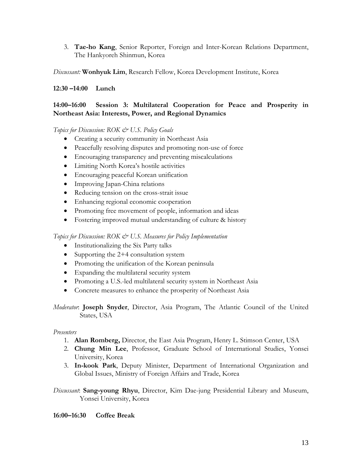3. **Tae-ho Kang**, Senior Reporter, Foreign and Inter-Korean Relations Department, The Hankyoreh Shinmun, Korea

*Discussant:* **Wonhyuk Lim**, Research Fellow, Korea Development Institute, Korea

### **12:30 –14:00 Lunch**

## **14:00–16:00 Session 3: Multilateral Cooperation for Peace and Prosperity in Northeast Asia: Interests, Power, and Regional Dynamics**

*Topics for Discussion: ROK & U.S. Policy Goals* 

- Creating a security community in Northeast Asia
- Peacefully resolving disputes and promoting non-use of force
- Encouraging transparency and preventing miscalculations
- Limiting North Korea's hostile activities
- Encouraging peaceful Korean unification
- Improving Japan-China relations
- Reducing tension on the cross-strait issue
- Enhancing regional economic cooperation
- Promoting free movement of people, information and ideas
- Fostering improved mutual understanding of culture & history

*Topics for Discussion: ROK*  $\mathcal{O}$  *U.S. Measures for Policy Implementation* 

- Institutionalizing the Six Party talks
- Supporting the 2+4 consultation system
- Promoting the unification of the Korean peninsula
- Expanding the multilateral security system
- Promoting a U.S.-led multilateral security system in Northeast Asia
- Concrete measures to enhance the prosperity of Northeast Asia

*Moderator*: **Joseph Snyder**, Director, Asia Program, The Atlantic Council of the United States, USA

### *Presenters*

- 1. **Alan Romberg,** Director, the East Asia Program, Henry L. Stimson Center, USA
- 2. **Chung Min Lee**, Professor, Graduate School of International Studies, Yonsei University, Korea
- 3. **In-kook Park**, Deputy Minister, Department of International Organization and Global Issues, Ministry of Foreign Affairs and Trade, Korea

*Discussant*: **Sang-young Rhyu**, Director, Kim Dae-jung Presidential Library and Museum, Yonsei University, Korea

### **16:00–16:30 Coffee Break**